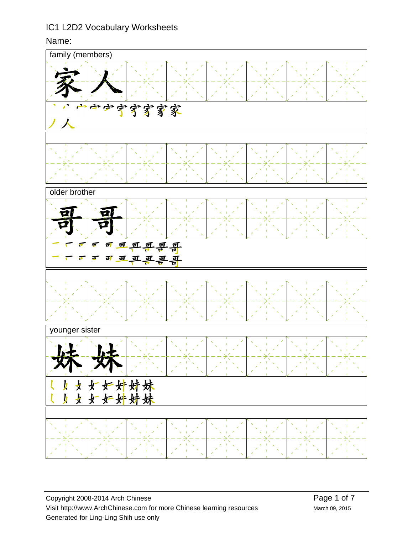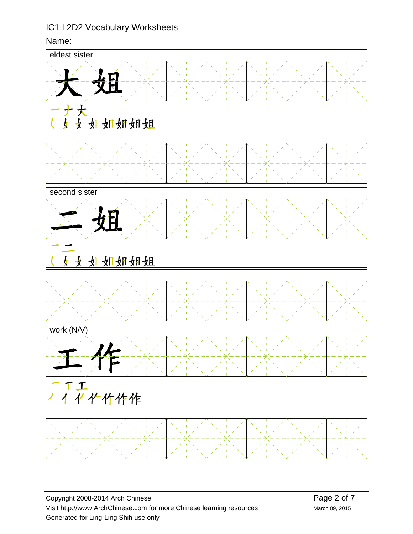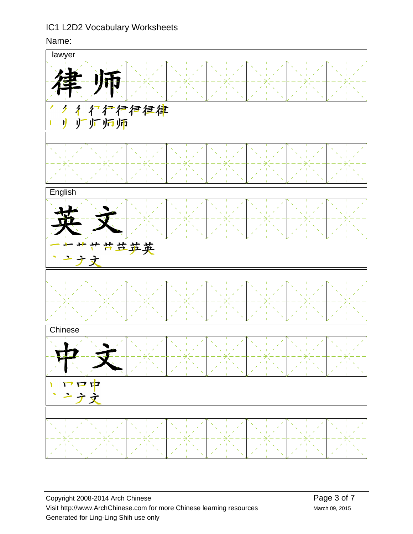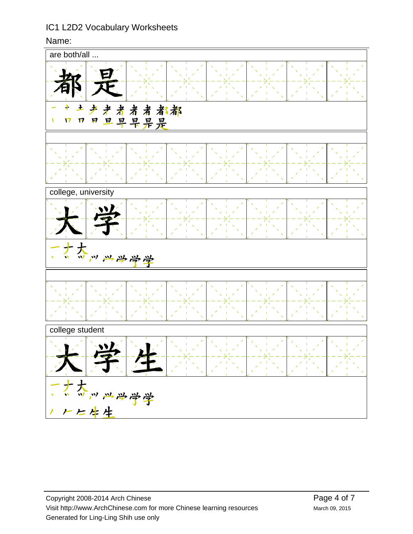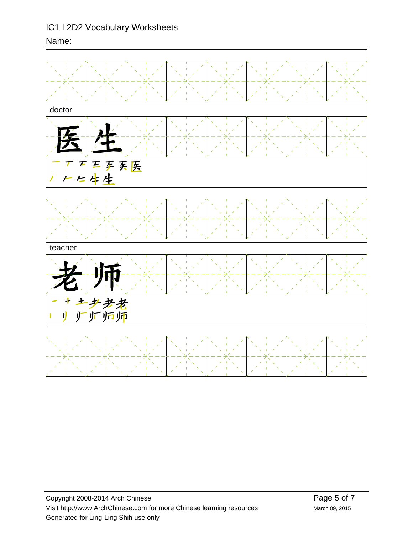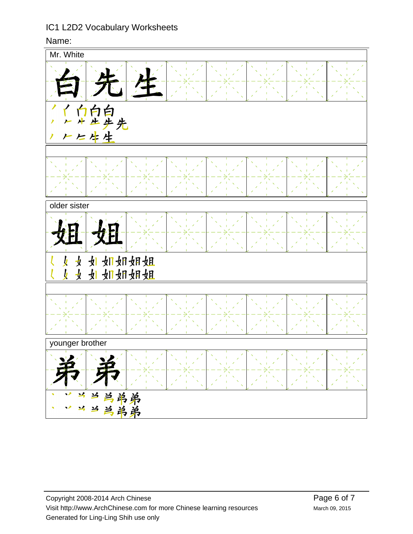